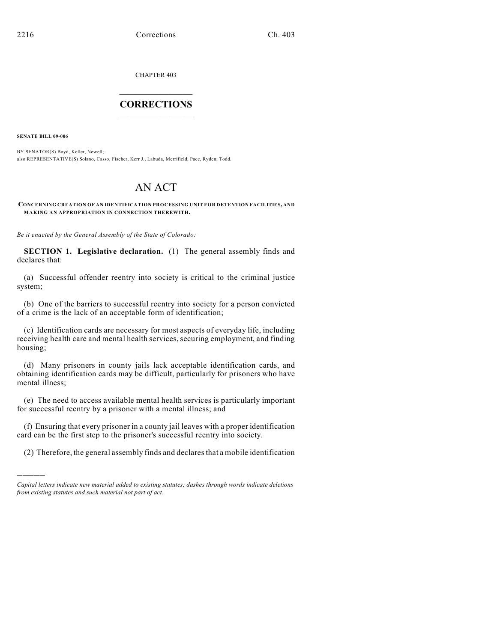CHAPTER 403

## $\mathcal{L}_\text{max}$  . The set of the set of the set of the set of the set of the set of the set of the set of the set of the set of the set of the set of the set of the set of the set of the set of the set of the set of the set **CORRECTIONS**  $\frac{1}{2}$  ,  $\frac{1}{2}$  ,  $\frac{1}{2}$  ,  $\frac{1}{2}$  ,  $\frac{1}{2}$  ,  $\frac{1}{2}$

**SENATE BILL 09-006**

)))))

BY SENATOR(S) Boyd, Keller, Newell; also REPRESENTATIVE(S) Solano, Casso, Fischer, Kerr J., Labuda, Merrifield, Pace, Ryden, Todd.

## AN ACT

## **CONCERNING CREATION OF AN IDENTIFICATION PROCESSING UNIT FOR DETENTION FACILITIES, AND MAKING AN APPROPRIATION IN CONNECTION THEREWITH.**

*Be it enacted by the General Assembly of the State of Colorado:*

**SECTION 1. Legislative declaration.** (1) The general assembly finds and declares that:

(a) Successful offender reentry into society is critical to the criminal justice system;

(b) One of the barriers to successful reentry into society for a person convicted of a crime is the lack of an acceptable form of identification;

(c) Identification cards are necessary for most aspects of everyday life, including receiving health care and mental health services, securing employment, and finding housing;

(d) Many prisoners in county jails lack acceptable identification cards, and obtaining identification cards may be difficult, particularly for prisoners who have mental illness;

(e) The need to access available mental health services is particularly important for successful reentry by a prisoner with a mental illness; and

(f) Ensuring that every prisoner in a county jail leaves with a proper identification card can be the first step to the prisoner's successful reentry into society.

(2) Therefore, the general assembly finds and declares that a mobile identification

*Capital letters indicate new material added to existing statutes; dashes through words indicate deletions from existing statutes and such material not part of act.*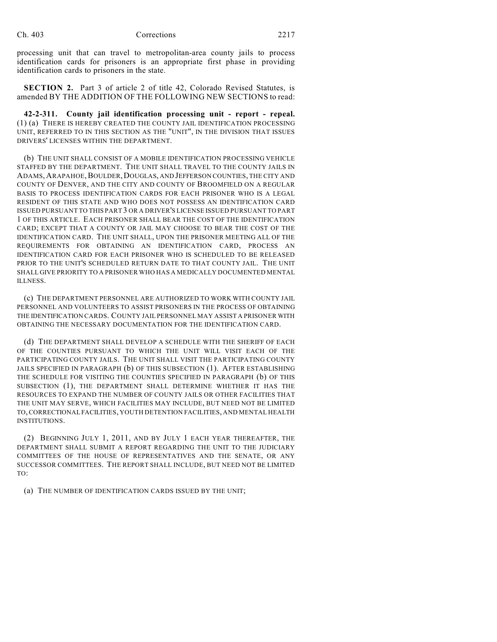processing unit that can travel to metropolitan-area county jails to process identification cards for prisoners is an appropriate first phase in providing identification cards to prisoners in the state.

**SECTION 2.** Part 3 of article 2 of title 42, Colorado Revised Statutes, is amended BY THE ADDITION OF THE FOLLOWING NEW SECTIONS to read:

**42-2-311. County jail identification processing unit - report - repeal.** (1) (a) THERE IS HEREBY CREATED THE COUNTY JAIL IDENTIFICATION PROCESSING UNIT, REFERRED TO IN THIS SECTION AS THE "UNIT", IN THE DIVISION THAT ISSUES DRIVERS' LICENSES WITHIN THE DEPARTMENT.

(b) THE UNIT SHALL CONSIST OF A MOBILE IDENTIFICATION PROCESSING VEHICLE STAFFED BY THE DEPARTMENT. THE UNIT SHALL TRAVEL TO THE COUNTY JAILS IN ADAMS, ARAPAHOE, BOULDER, DOUGLAS, AND JEFFERSON COUNTIES, THE CITY AND COUNTY OF DENVER, AND THE CITY AND COUNTY OF BROOMFIELD ON A REGULAR BASIS TO PROCESS IDENTIFICATION CARDS FOR EACH PRISONER WHO IS A LEGAL RESIDENT OF THIS STATE AND WHO DOES NOT POSSESS AN IDENTIFICATION CARD ISSUED PURSUANT TO THIS PART 3 OR A DRIVER'S LICENSE ISSUED PURSUANT TO PART 1 OF THIS ARTICLE. EACH PRISONER SHALL BEAR THE COST OF THE IDENTIFICATION CARD; EXCEPT THAT A COUNTY OR JAIL MAY CHOOSE TO BEAR THE COST OF THE IDENTIFICATION CARD. THE UNIT SHALL, UPON THE PRISONER MEETING ALL OF THE REQUIREMENTS FOR OBTAINING AN IDENTIFICATION CARD, PROCESS AN IDENTIFICATION CARD FOR EACH PRISONER WHO IS SCHEDULED TO BE RELEASED PRIOR TO THE UNIT'S SCHEDULED RETURN DATE TO THAT COUNTY JAIL. THE UNIT SHALL GIVE PRIORITY TO A PRISONER WHO HAS A MEDICALLY DOCUMENTED MENTAL ILLNESS.

(c) THE DEPARTMENT PERSONNEL ARE AUTHORIZED TO WORK WITH COUNTY JAIL PERSONNEL AND VOLUNTEERS TO ASSIST PRISONERS IN THE PROCESS OF OBTAINING THE IDENTIFICATION CARDS. COUNTY JAIL PERSONNEL MAY ASSIST A PRISONER WITH OBTAINING THE NECESSARY DOCUMENTATION FOR THE IDENTIFICATION CARD.

(d) THE DEPARTMENT SHALL DEVELOP A SCHEDULE WITH THE SHERIFF OF EACH OF THE COUNTIES PURSUANT TO WHICH THE UNIT WILL VISIT EACH OF THE PARTICIPATING COUNTY JAILS. THE UNIT SHALL VISIT THE PARTICIPATING COUNTY JAILS SPECIFIED IN PARAGRAPH (b) OF THIS SUBSECTION (1). AFTER ESTABLISHING THE SCHEDULE FOR VISITING THE COUNTIES SPECIFIED IN PARAGRAPH (b) OF THIS SUBSECTION (1), THE DEPARTMENT SHALL DETERMINE WHETHER IT HAS THE RESOURCES TO EXPAND THE NUMBER OF COUNTY JAILS OR OTHER FACILITIES THAT THE UNIT MAY SERVE, WHICH FACILITIES MAY INCLUDE, BUT NEED NOT BE LIMITED TO, CORRECTIONAL FACILITIES, YOUTH DETENTION FACILITIES, AND MENTAL HEALTH INSTITUTIONS.

(2) BEGINNING JULY 1, 2011, AND BY JULY 1 EACH YEAR THEREAFTER, THE DEPARTMENT SHALL SUBMIT A REPORT REGARDING THE UNIT TO THE JUDICIARY COMMITTEES OF THE HOUSE OF REPRESENTATIVES AND THE SENATE, OR ANY SUCCESSOR COMMITTEES. THE REPORT SHALL INCLUDE, BUT NEED NOT BE LIMITED TO:

(a) THE NUMBER OF IDENTIFICATION CARDS ISSUED BY THE UNIT;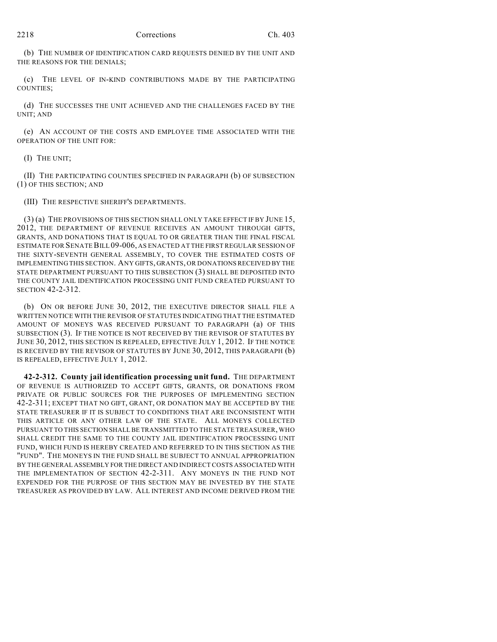(b) THE NUMBER OF IDENTIFICATION CARD REQUESTS DENIED BY THE UNIT AND THE REASONS FOR THE DENIALS;

(c) THE LEVEL OF IN-KIND CONTRIBUTIONS MADE BY THE PARTICIPATING COUNTIES;

(d) THE SUCCESSES THE UNIT ACHIEVED AND THE CHALLENGES FACED BY THE UNIT; AND

(e) AN ACCOUNT OF THE COSTS AND EMPLOYEE TIME ASSOCIATED WITH THE OPERATION OF THE UNIT FOR:

(I) THE UNIT;

(II) THE PARTICIPATING COUNTIES SPECIFIED IN PARAGRAPH (b) OF SUBSECTION (1) OF THIS SECTION; AND

(III) THE RESPECTIVE SHERIFF'S DEPARTMENTS.

(3) (a) THE PROVISIONS OF THIS SECTION SHALL ONLY TAKE EFFECT IF BY JUNE 15, 2012, THE DEPARTMENT OF REVENUE RECEIVES AN AMOUNT THROUGH GIFTS, GRANTS, AND DONATIONS THAT IS EQUAL TO OR GREATER THAN THE FINAL FISCAL ESTIMATE FOR SENATE BILL 09-006, AS ENACTED AT THE FIRST REGULAR SESSION OF THE SIXTY-SEVENTH GENERAL ASSEMBLY, TO COVER THE ESTIMATED COSTS OF IMPLEMENTING THIS SECTION. ANY GIFTS, GRANTS, OR DONATIONS RECEIVED BY THE STATE DEPARTMENT PURSUANT TO THIS SUBSECTION (3) SHALL BE DEPOSITED INTO THE COUNTY JAIL IDENTIFICATION PROCESSING UNIT FUND CREATED PURSUANT TO SECTION 42-2-312.

(b) ON OR BEFORE JUNE 30, 2012, THE EXECUTIVE DIRECTOR SHALL FILE A WRITTEN NOTICE WITH THE REVISOR OF STATUTES INDICATING THAT THE ESTIMATED AMOUNT OF MONEYS WAS RECEIVED PURSUANT TO PARAGRAPH (a) OF THIS SUBSECTION (3). IF THE NOTICE IS NOT RECEIVED BY THE REVISOR OF STATUTES BY JUNE 30, 2012, THIS SECTION IS REPEALED, EFFECTIVE JULY 1, 2012. IF THE NOTICE IS RECEIVED BY THE REVISOR OF STATUTES BY JUNE 30, 2012, THIS PARAGRAPH (b) IS REPEALED, EFFECTIVE JULY 1, 2012.

**42-2-312. County jail identification processing unit fund.** THE DEPARTMENT OF REVENUE IS AUTHORIZED TO ACCEPT GIFTS, GRANTS, OR DONATIONS FROM PRIVATE OR PUBLIC SOURCES FOR THE PURPOSES OF IMPLEMENTING SECTION 42-2-311; EXCEPT THAT NO GIFT, GRANT, OR DONATION MAY BE ACCEPTED BY THE STATE TREASURER IF IT IS SUBJECT TO CONDITIONS THAT ARE INCONSISTENT WITH THIS ARTICLE OR ANY OTHER LAW OF THE STATE. ALL MONEYS COLLECTED PURSUANT TO THIS SECTION SHALL BE TRANSMITTED TO THE STATE TREASURER, WHO SHALL CREDIT THE SAME TO THE COUNTY JAIL IDENTIFICATION PROCESSING UNIT FUND, WHICH FUND IS HEREBY CREATED AND REFERRED TO IN THIS SECTION AS THE "FUND". THE MONEYS IN THE FUND SHALL BE SUBJECT TO ANNUAL APPROPRIATION BY THE GENERAL ASSEMBLY FOR THE DIRECT AND INDIRECT COSTS ASSOCIATED WITH THE IMPLEMENTATION OF SECTION 42-2-311. ANY MONEYS IN THE FUND NOT EXPENDED FOR THE PURPOSE OF THIS SECTION MAY BE INVESTED BY THE STATE TREASURER AS PROVIDED BY LAW. ALL INTEREST AND INCOME DERIVED FROM THE